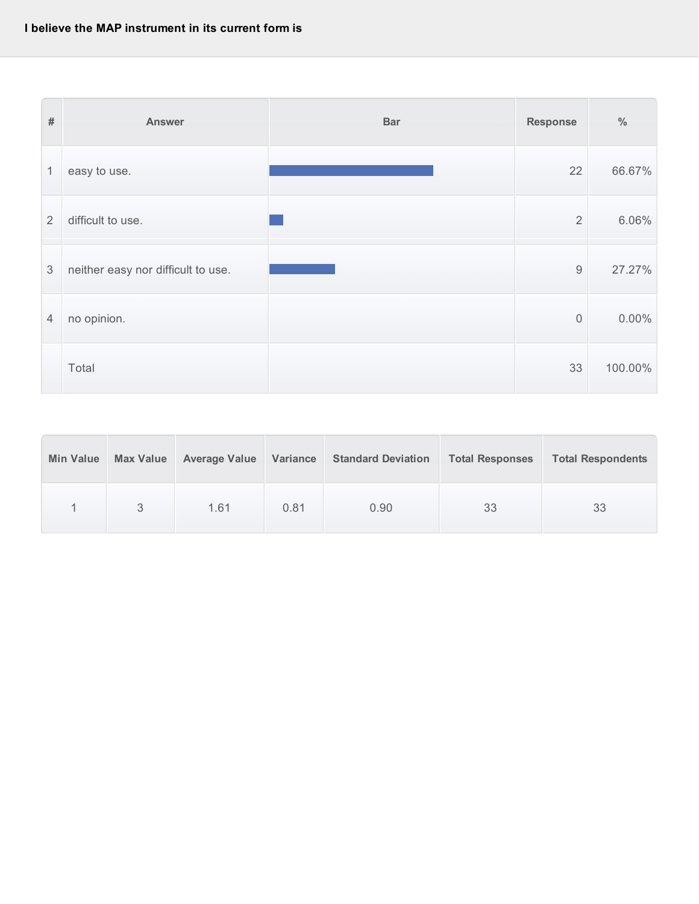

| <b>Min Value</b> | <b>Max Value</b> | <b>Average Value</b> | Variance | <b>Standard Deviation</b> | <b>Total Responses</b> | <b>Total Respondents</b> |
|------------------|------------------|----------------------|----------|---------------------------|------------------------|--------------------------|
|                  |                  | 1.61                 | 0.81     | 0.90                      | 33                     | 33                       |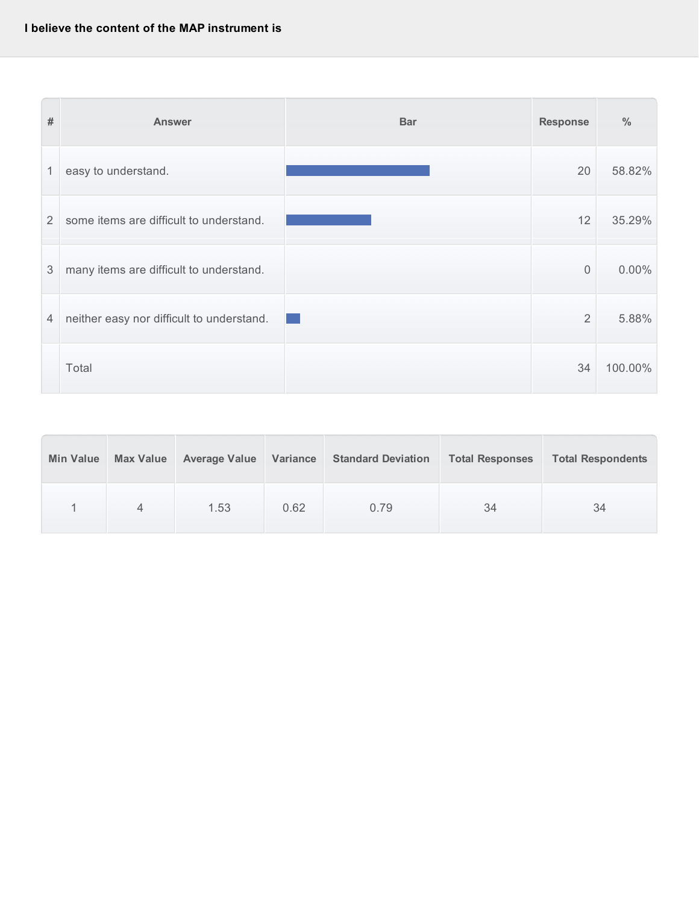| $\#$           | <b>Answer</b>                             | <b>Bar</b> | <b>Response</b> | $\frac{0}{0}$ |
|----------------|-------------------------------------------|------------|-----------------|---------------|
| 1              | easy to understand.                       |            | 20              | 58.82%        |
| $\overline{2}$ | some items are difficult to understand.   |            | 12              | 35.29%        |
| 3              | many items are difficult to understand.   |            | $\overline{0}$  | $0.00\%$      |
| $\overline{4}$ | neither easy nor difficult to understand. |            | $\overline{2}$  | 5.88%         |
|                | Total                                     |            | 34              | 100.00%       |

| <b>Min Value</b> | <b>Max Value</b> | <b>Average Value</b> | Variance | <b>Standard Deviation</b> | <b>Total Responses</b> | <b>Total Respondents</b> |
|------------------|------------------|----------------------|----------|---------------------------|------------------------|--------------------------|
|                  | $\Delta$         | 1.53                 | 0.62     | 0.79                      | 34                     | 34                       |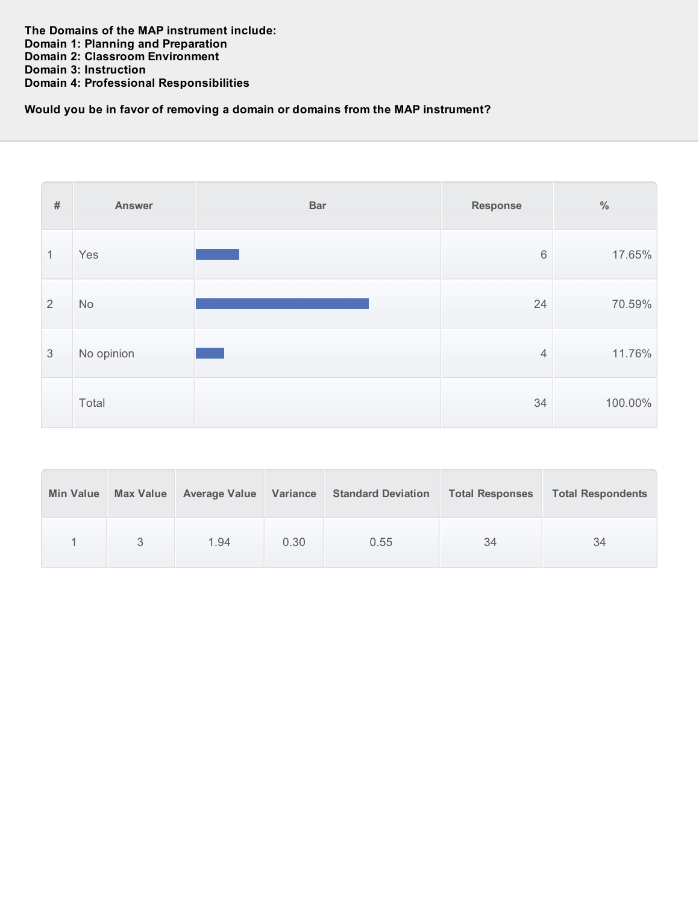## **Would you be in favor of removing a domain or domains from the MAP instrument?**

| $\#$           | <b>Answer</b> | <b>Bar</b> | <b>Response</b> | $\%$    |
|----------------|---------------|------------|-----------------|---------|
| $\mathbf{1}$   | Yes           |            | $6\,$           | 17.65%  |
| 2              | No            |            | 24              | 70.59%  |
| $\mathfrak{S}$ | No opinion    |            | $\overline{4}$  | 11.76%  |
|                | Total         |            | 34              | 100.00% |

| <b>Min Value</b> | <b>Max Value</b> | <b>Average Value</b> | Variance | <b>Standard Deviation</b> | <b>Total Responses</b> | <b>Total Respondents</b> |
|------------------|------------------|----------------------|----------|---------------------------|------------------------|--------------------------|
|                  |                  | 1.94                 | 0.30     | 0.55                      | 34                     | 34                       |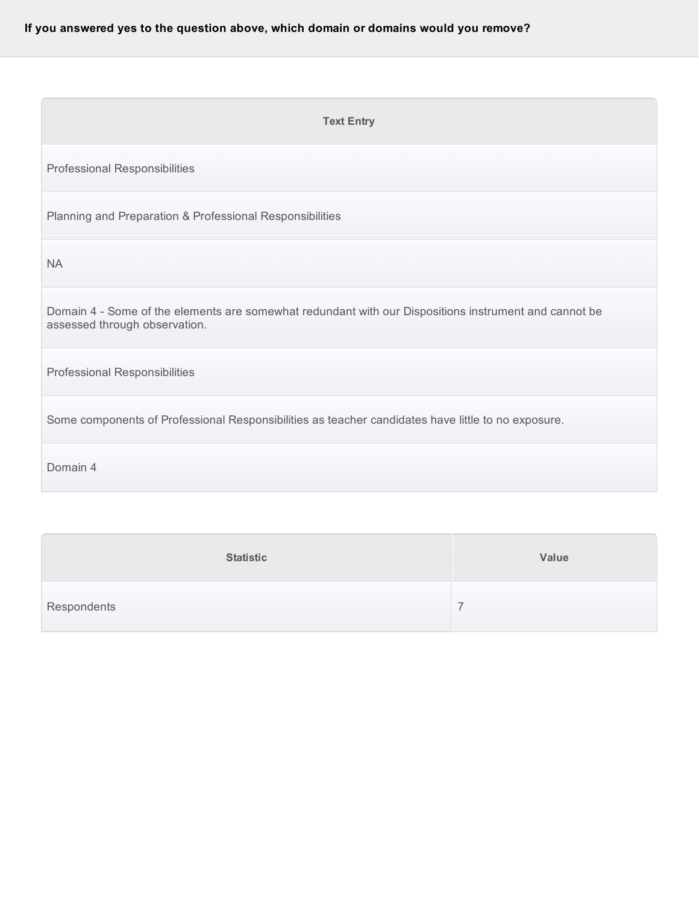## **If you answered yes to the question above, which domain or domains would you remove?**

| <b>Text Entry</b>                                                                                                                      |
|----------------------------------------------------------------------------------------------------------------------------------------|
| Professional Responsibilities                                                                                                          |
| Planning and Preparation & Professional Responsibilities                                                                               |
| <b>NA</b>                                                                                                                              |
| Domain 4 - Some of the elements are somewhat redundant with our Dispositions instrument and cannot be<br>assessed through observation. |
| Professional Responsibilities                                                                                                          |
| Some components of Professional Responsibilities as teacher candidates have little to no exposure.                                     |
| Domain 4                                                                                                                               |

|             | <b>Statistic</b> | Value |
|-------------|------------------|-------|
| Respondents |                  |       |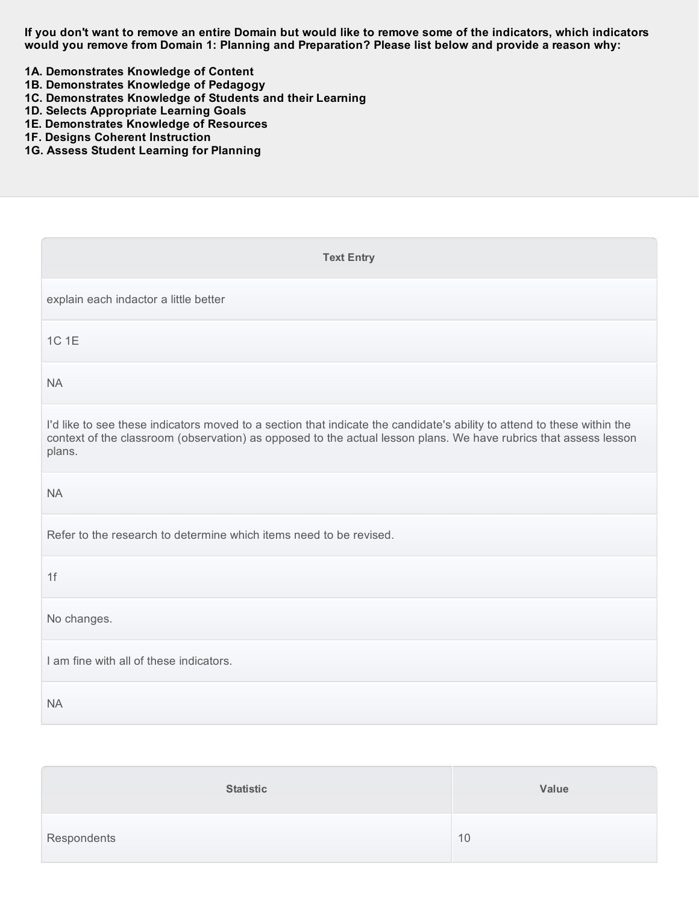If you don't want to remove an entire Domain but would like to remove some of the indicators, which indicators would you remove from Domain 1: Planning and Preparation? Please list below and provide a reason why:

 **1A. Demonstrates Knowledge of Content**

- **1B. Demonstrates Knowledge of Pedagogy**
- **1C. Demonstrates Knowledge of Students and their Learning**
- **1D. Selects Appropriate Learning Goals**
- **1E. Demonstrates Knowledge of Resources**
- **1F. Designs Coherent Instruction**
- **1G. Assess Student Learning for Planning**

| <b>Text Entry</b>                                                                                                                                                                                                                                     |
|-------------------------------------------------------------------------------------------------------------------------------------------------------------------------------------------------------------------------------------------------------|
| explain each indactor a little better                                                                                                                                                                                                                 |
| 1C 1E                                                                                                                                                                                                                                                 |
| <b>NA</b>                                                                                                                                                                                                                                             |
| I'd like to see these indicators moved to a section that indicate the candidate's ability to attend to these within the<br>context of the classroom (observation) as opposed to the actual lesson plans. We have rubrics that assess lesson<br>plans. |
| <b>NA</b>                                                                                                                                                                                                                                             |
| Refer to the research to determine which items need to be revised.                                                                                                                                                                                    |
| 1f                                                                                                                                                                                                                                                    |
| No changes.                                                                                                                                                                                                                                           |
| I am fine with all of these indicators.                                                                                                                                                                                                               |
| <b>NA</b>                                                                                                                                                                                                                                             |

|             | <b>Statistic</b> | Value |
|-------------|------------------|-------|
| Respondents |                  | 10    |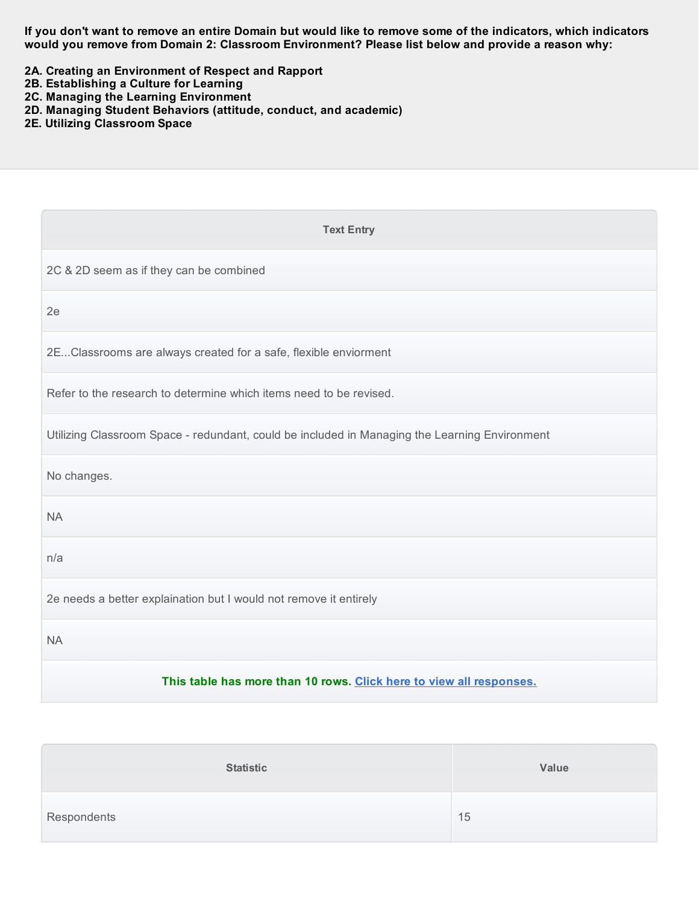If you don't want to remove an entire Domain but would like to remove some of the indicators, which indicators  **would you remove from Domain 2: Classroom Environment? Please list below and provide a reason why:**

- **2A. Creating an Environment of Respect and Rapport**
- **2B. Establishing a Culture for Learning**
- **2C. Managing the Learning Environment**
- **2D. Managing Student Behaviors (attitude, conduct, and academic)**
- **2E. Utilizing Classroom Space**

| <b>Text Entry</b>                                                                             |
|-----------------------------------------------------------------------------------------------|
| 2C & 2D seem as if they can be combined                                                       |
| 2e                                                                                            |
| 2EClassrooms are always created for a safe, flexible enviorment                               |
| Refer to the research to determine which items need to be revised.                            |
| Utilizing Classroom Space - redundant, could be included in Managing the Learning Environment |
| No changes.                                                                                   |
| <b>NA</b>                                                                                     |
| n/a                                                                                           |
| 2e needs a better explaination but I would not remove it entirely                             |
| <b>NA</b>                                                                                     |
| This table has more than 10 rows. Click here to view all responses.                           |

|             | <b>Statistic</b> | Value |
|-------------|------------------|-------|
| Respondents |                  | 15    |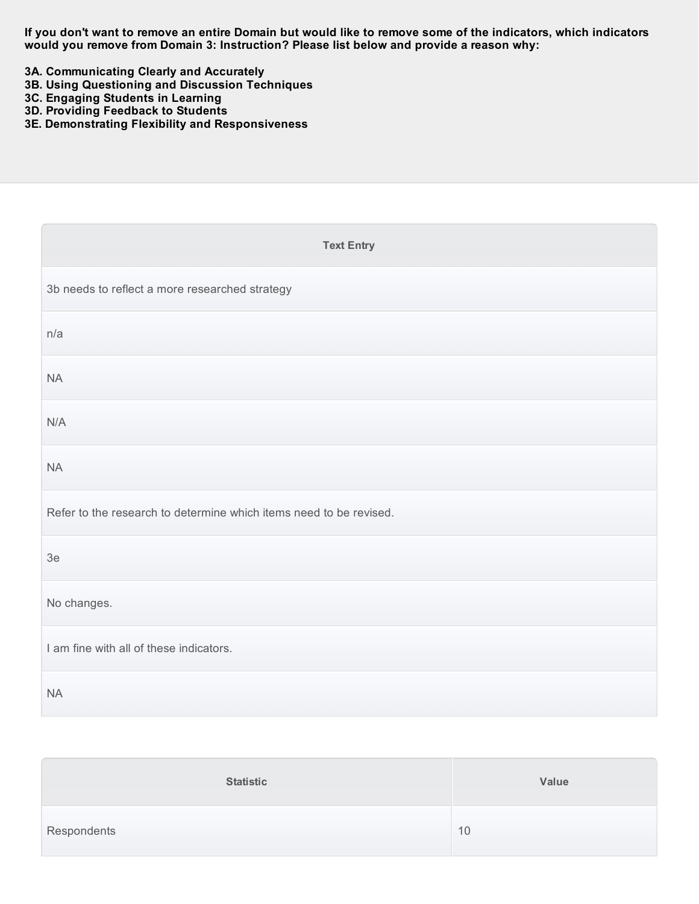If you don't want to remove an entire Domain but would like to remove some of the indicators, which indicators  **would you remove from Domain 3: Instruction? Please list below and provide a reason why:**

- **3A. Communicating Clearly and Accurately**
- **3B. Using Questioning and Discussion Techniques**
- **3C. Engaging Students in Learning**
- **3D. Providing Feedback to Students**
- **3E. Demonstrating Flexibility and Responsiveness**

| <b>Text Entry</b>                                                  |
|--------------------------------------------------------------------|
| 3b needs to reflect a more researched strategy                     |
| n/a                                                                |
| <b>NA</b>                                                          |
| N/A                                                                |
| <b>NA</b>                                                          |
| Refer to the research to determine which items need to be revised. |
| 3e                                                                 |
| No changes.                                                        |
| I am fine with all of these indicators.                            |
| <b>NA</b>                                                          |

| <b>Statistic</b> | Value |
|------------------|-------|
| Respondents      | 10    |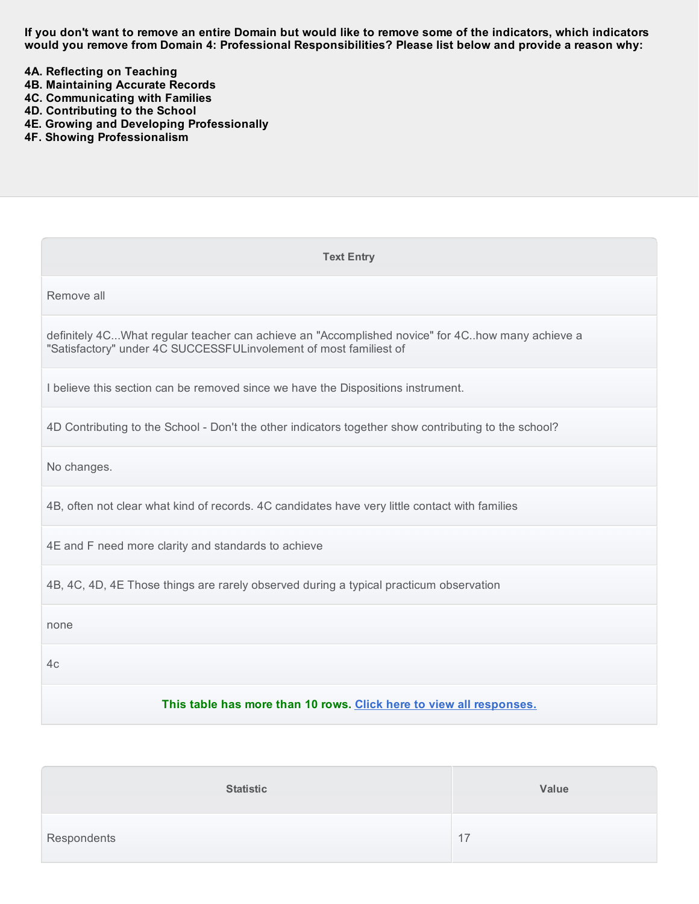If you don't want to remove an entire Domain but would like to remove some of the indicators, which indicators would you remove from Domain 4: Professional Responsibilities? Please list below and provide a reason why:

 **4A. Reflecting on Teaching**

- **4B. Maintaining Accurate Records**
- **4C. Communicating with Families**
- **4D. Contributing to the School**
- **4E. Growing and Developing Professionally**
- **4F. Showing Professionalism**

| <b>Text Entry</b>                                                                                                                                                    |  |  |  |
|----------------------------------------------------------------------------------------------------------------------------------------------------------------------|--|--|--|
| Remove all                                                                                                                                                           |  |  |  |
| definitely 4CWhat regular teacher can achieve an "Accomplished novice" for 4Chow many achieve a<br>"Satisfactory" under 4C SUCCESSFULinvolement of most familiest of |  |  |  |
| I believe this section can be removed since we have the Dispositions instrument.                                                                                     |  |  |  |
| 4D Contributing to the School - Don't the other indicators together show contributing to the school?                                                                 |  |  |  |
| No changes.                                                                                                                                                          |  |  |  |
| 4B, often not clear what kind of records. 4C candidates have very little contact with families                                                                       |  |  |  |
| 4E and F need more clarity and standards to achieve                                                                                                                  |  |  |  |
| 4B, 4C, 4D, 4E Those things are rarely observed during a typical practicum observation                                                                               |  |  |  |
| none                                                                                                                                                                 |  |  |  |
| 4c                                                                                                                                                                   |  |  |  |
| This table has more than 10 rows. Click here to view all responses.                                                                                                  |  |  |  |

| <b>Statistic</b> | Value |
|------------------|-------|
| Respondents      | 17    |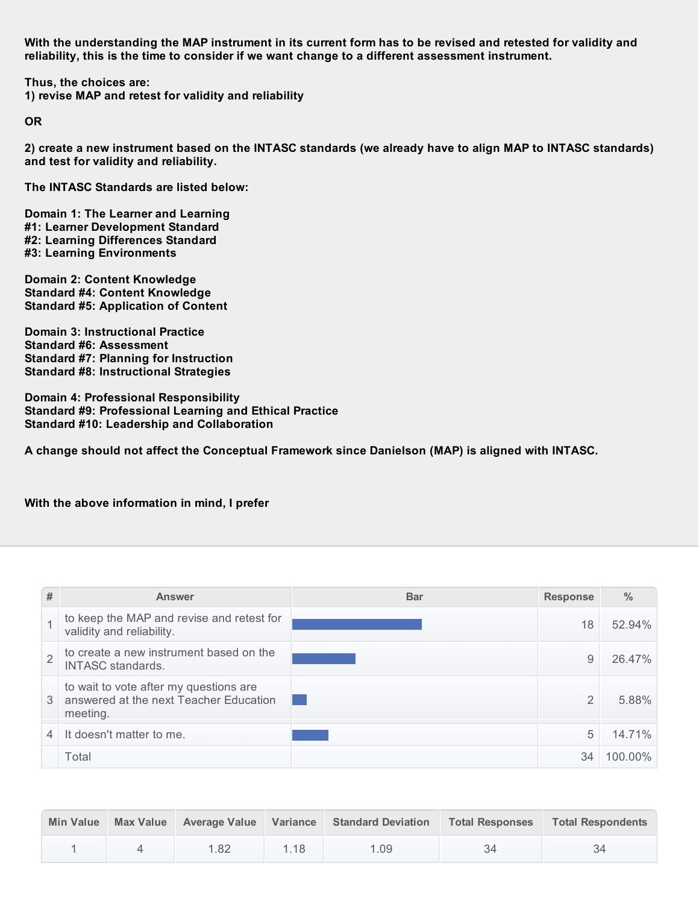With the understanding the MAP instrument in its current form has to be revised and retested for validity and  **reliability, this is the time to consider if we want change to a different assessment instrument.**

 **Thus, the choices are: 1) revise MAP and retest for validity and reliability**

**OR**

2) create a new instrument based on the INTASC standards (we already have to align MAP to INTASC standards)  **and test for validity and reliability.**

 **The INTASC Standards are listed below:**

 **Domain 1: The Learner and Learning #1: Learner Development Standard #2: Learning Differences Standard #3: Learning Environments**

 **Domain 2: Content Knowledge Standard #4: Content Knowledge Standard #5: Application of Content**

 **Domain 3: Instructional Practice Standard #6: Assessment Standard #7: Planning for Instruction Standard #8: Instructional Strategies**

 **Domain 4: Professional Responsibility Standard #9: Professional Learning and Ethical Practice Standard #10: Leadership and Collaboration**

 **A change should not affect the Conceptual Framework since Danielson (MAP) is aligned with INTASC.**

 **With the above information in mind, I prefer**

| #              | <b>Answer</b>                                                                                | <b>Bar</b> | <b>Response</b> | $\frac{0}{0}$ |
|----------------|----------------------------------------------------------------------------------------------|------------|-----------------|---------------|
|                | to keep the MAP and revise and retest for<br>validity and reliability.                       |            | 18              | 52.94%        |
| $\overline{2}$ | to create a new instrument based on the<br><b>INTASC</b> standards.                          |            | 9               | 26.47%        |
| 3              | to wait to vote after my questions are<br>answered at the next Teacher Education<br>meeting. |            | $\overline{2}$  | 5.88%         |
|                | It doesn't matter to me.                                                                     |            | 5               | 14.71%        |
|                | Total                                                                                        |            | 34              | 100.00%       |

| <b>Min Value</b> |      |      | Max Value Average Value Variance Standard Deviation | <b>Total Responses</b> | <b>Total Respondents</b> |
|------------------|------|------|-----------------------------------------------------|------------------------|--------------------------|
|                  | 1.82 | 1.18 | 1.09                                                |                        | 34                       |